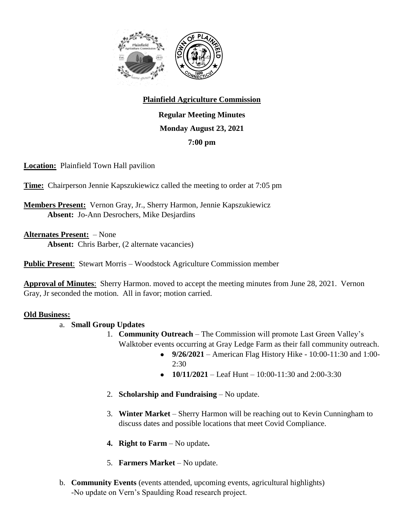

## **Plainfield Agriculture Commission**

**Regular Meeting Minutes Monday August 23, 2021 7:00 pm**

**Location:** Plainfield Town Hall pavilion

**Time:** Chairperson Jennie Kapszukiewicz called the meeting to order at 7:05 pm

**Members Present:** Vernon Gray, Jr., Sherry Harmon, Jennie Kapszukiewicz **Absent:** Jo-Ann Desrochers, Mike Desjardins

**Alternates Present:** – None **Absent:** Chris Barber, (2 alternate vacancies)

**Public Present**: Stewart Morris – Woodstock Agriculture Commission member

**Approval of Minutes**: Sherry Harmon. moved to accept the meeting minutes from June 28, 2021. Vernon Gray, Jr seconded the motion. All in favor; motion carried.

## **Old Business:**

- a. **Small Group Updates**
	- 1. **Community Outreach** The Commission will promote Last Green Valley's Walktober events occurring at Gray Ledge Farm as their fall community outreach.
		- **9/26/2021**  American Flag History Hike 10:00-11:30 and 1:00- 2:30
		- **10/11/2021** Leaf Hunt 10:00-11:30 and 2:00-3:30
	- 2. **Scholarship and Fundraising** No update.
	- 3. **Winter Market** Sherry Harmon will be reaching out to Kevin Cunningham to discuss dates and possible locations that meet Covid Compliance.
	- **4. Right to Farm** No update**.**
	- 5. **Farmers Market** No update.
- b. **Community Events** (events attended, upcoming events, agricultural highlights) -No update on Vern's Spaulding Road research project.